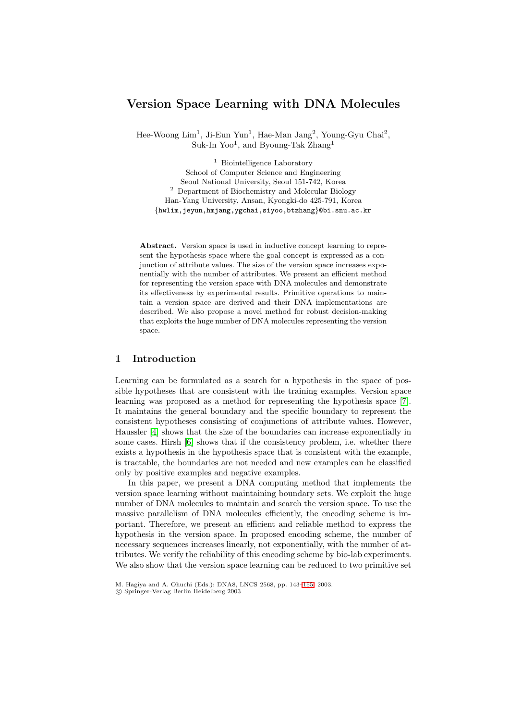# **Version Space Learning with DNA Molecules**

Hee-Woong Lim<sup>1</sup>, Ji-Eun Yun<sup>1</sup>, Hae-Man Jang<sup>2</sup>, Young-Gyu Chai<sup>2</sup>, Suk-In Yoo<sup>1</sup>, and Byoung-Tak Zhang<sup>1</sup>

 $<sup>1</sup>$  Biointelligence Laboratory</sup> School of Computer Science and Engineering Seoul National University, Seoul 151-742, Korea <sup>2</sup> Department of Biochemistry and Molecular Biology Han-Yang University, Ansan, Kyongki-do 425-791, Korea *{*hwlim,jeyun,hmjang,ygchai,siyoo,btzhang*}*@bi.snu.ac.kr

**Abstract.** Version space is used in inductive concept learning to represent the hypothesis space where the goal concept is expressed as a conjunction of attribute values. The size of the version space increases exponentially with the number of attributes. We present an efficient method for representing the version space with DNA molecules and demonstrate its effectiveness by experimental results. Primitive operations to maintain a version space are derived and their DNA implementations are described. We also propose a novel method for robust decision-making that exploits the huge number of DNA molecules representing the version space.

### **1 Introduction**

Learning can be formulated as a search for a hypothesis in the space of possible hypotheses that are consistent with the training examples. Version space learning was proposed as a method for representing the hypothesis space [\[7\]](#page-12-0). It maintains the general boundary and the specific boundary to represent the consistent hypotheses consisting of conjunctions of attribute values. However, Haussler [\[4\]](#page-12-1) shows that the size ofthe boundaries can increase exponentially in some cases. Hirsh [\[6\]](#page-12-2) shows that if the consistency problem, i.e. whether there exists a hypothesis in the hypothesis space that is consistent with the example, is tractable, the boundaries are not needed and new examples can be classified only by positive examples and negative examples.

In this paper, we present a DNA computing method that implements the version space learning without maintaining boundary sets. We exploit the huge number of DNA molecules to maintain and search the version space. To use the massive parallelism of DNA molecules efficiently, the encoding scheme is important. Therefore, we present an efficient and reliable method to express the hypothesis in the version space. In proposed encoding scheme, the number of necessary sequences increases linearly, not exponentially, with the number of attributes. We verify the reliability of this encoding scheme by bio-lab experiments. We also show that the version space learning can be reduced to two primitive set

M. Hagiya and A. Ohuchi (Eds.): DNA8, LNCS 2568, pp. 143[–155,](#page-12-3) 2003.

c Springer-Verlag Berlin Heidelberg 2003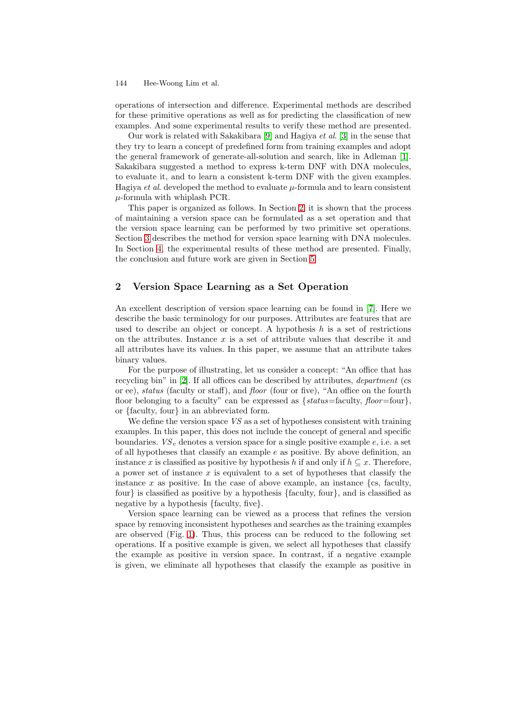operations ofintersection and difference. Experimental methods are described for these primitive operations as well as for predicting the classification of new examples. And some experimental results to verify these method are presented.

Our work is related with Sakakibara [\[9\]](#page-12-4) and Hagiya *et al*. [\[3\]](#page-12-5) in the sense that they try to learn a concept of predefined form from training examples and adopt the general framework of generate-all-solution and search, like in Adleman [\[1\]](#page-12-6). Sakakibara suggested a method to express k-term DNF with DNA molecules, to evaluate it, and to learn a consistent k-term DNF with the given examples. Hagiya *et al.* developed the method to evaluate  $\mu$ -formula and to learn consistent  $\mu$ -formula with whiplash PCR.

This paper is organized as follows. In Section [2,](#page-1-0) it is shown that the process of maintaining a version space can be formulated as a set operation and that the version space learning can be performed by two primitive set operations. Section [3](#page-2-0) describes the method for version space learning with DNA molecules. In Section [4,](#page-6-0) the experimental results of these method are presented. Finally, the conclusion and future work are given in Section [5.](#page-10-0)

## <span id="page-1-0"></span>**2 Version Space Learning as a Set Operation**

An excellent description of version space learning can be found in [\[7\]](#page-12-0). Here we describe the basic terminology for our purposes. Attributes are features that are used to describe an object or concept. A hypothesis  $h$  is a set of restrictions on the attributes. Instance  $x$  is a set of attribute values that describe it and all attributes have its values. In this paper, we assume that an attribute takes binary values.

For the purpose of illustrating, let us consider a concept: "An office that has recycling bin" in [\[2\]](#page-12-7). Ifall offices can be described by attributes, *department* (cs or ee), *status* (faculty or staff), and *floor* (four or five), "An office on the fourth floor belonging to a faculty" can be expressed as {*status*=faculty, *floor*=four}, or {faculty, four} in an abbreviated form.

We define the version space *VS* as a set of hypotheses consistent with training examples. In this paper, this does not include the concept of general and specific boundaries. *VS<sup>e</sup>* denotes a version space for a single positive example <sup>e</sup>, i.e. a set of all hypotheses that classify an example  $e$  as positive. By above definition, an instance x is classified as positive by hypothesis h if and only if  $h \subseteq x$ . Therefore, a power set of instance  $x$  is equivalent to a set of hypotheses that classify the instance x as positive. In the case of above example, an instance  $\{\text{cs}, \text{ faculty},\}$ four} is classified as positive by a hypothesis {faculty, four}, and is classified as negative by a hypothesis {faculty, five}.

Version space learning can be viewed as a process that refines the version space by removing inconsistent hypotheses and searches as the training examples are observed (Fig. [1\)](#page-2-1). Thus, this process can be reduced to the following set operations. Ifa positive example is given, we select all hypotheses that classify the example as positive in version space. In contrast, if a negative example is given, we eliminate all hypotheses that classify the example as positive in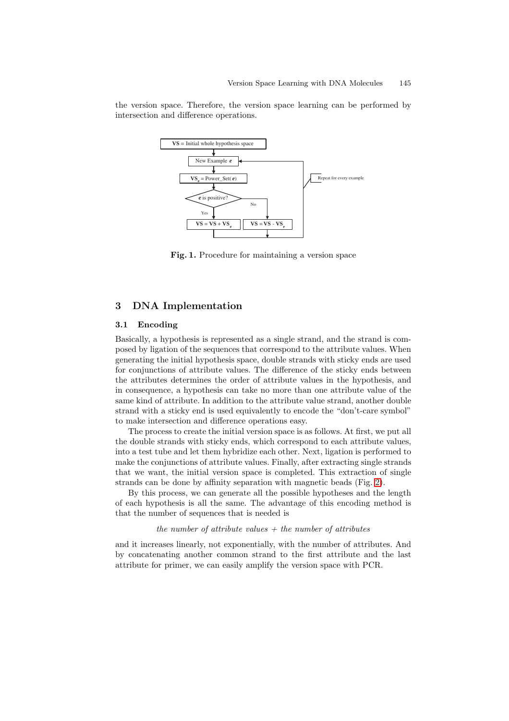the version space. Therefore, the version space learning can be performed by intersection and difference operations.



<span id="page-2-1"></span>**Fig. 1.** Procedure for maintaining a version space

### <span id="page-2-0"></span>**3 DNA Implementation**

#### **3.1 Encoding**

Basically, a hypothesis is represented as a single strand, and the strand is composed by ligation of the sequences that correspond to the attribute values. When generating the initial hypothesis space, double strands with sticky ends are used for conjunctions of attribute values. The difference of the sticky ends between the attributes determines the order of attribute values in the hypothesis, and in consequence, a hypothesis can take no more than one attribute value of the same kind of attribute. In addition to the attribute value strand, another double strand with a sticky end is used equivalently to encode the "don't-care symbol" to make intersection and difference operations easy.

The process to create the initial version space is as follows. At first, we put all the double strands with sticky ends, which correspond to each attribute values, into a test tube and let them hybridize each other. Next, ligation is performed to make the conjunctions of attribute values. Finally, after extracting single strands that we want, the initial version space is completed. This extraction of single strands can be done by affinity separation with magnetic beads (Fig. [2\)](#page-3-0).

By this process, we can generate all the possible hypotheses and the length ofeach hypothesis is all the same. The advantage ofthis encoding method is that the number of sequences that is needed is

#### *the number of attribute values + the number of attributes*

and it increases linearly, not exponentially, with the number of attributes. And by concatenating another common strand to the first attribute and the last attribute for primer, we can easily amplify the version space with PCR.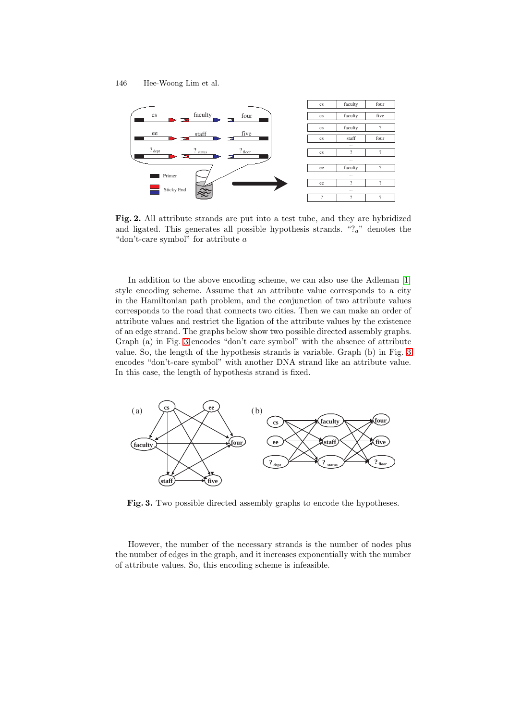

<span id="page-3-0"></span>**Fig. 2.** All attribute strands are put into a test tube, and they are hybridized and ligated. This generates all possible hypothesis strands. "?*a*" denotes the "don't-care symbol" for attribute  $a$ 

In addition to the above encoding scheme, we can also use the Adleman [\[1\]](#page-12-6) style encoding scheme. Assume that an attribute value corresponds to a city in the Hamiltonian path problem, and the conjunction oftwo attribute values corresponds to the road that connects two cities. Then we can make an order of attribute values and restrict the ligation of the attribute values by the existence ofan edge strand. The graphs below show two possible directed assembly graphs. Graph (a) in Fig. [3](#page-3-1) encodes "don't care symbol" with the absence of attribute value. So, the length of the hypothesis strands is variable. Graph  $(b)$  in Fig. [3](#page-3-1) encodes "don't-care symbol" with another DNA strand like an attribute value. In this case, the length of hypothesis strand is fixed.



<span id="page-3-1"></span>**Fig. 3.** Two possible directed assembly graphs to encode the hypotheses.

However, the number of the necessary strands is the number of nodes plus the number ofedges in the graph, and it increases exponentially with the number ofattribute values. So, this encoding scheme is infeasible.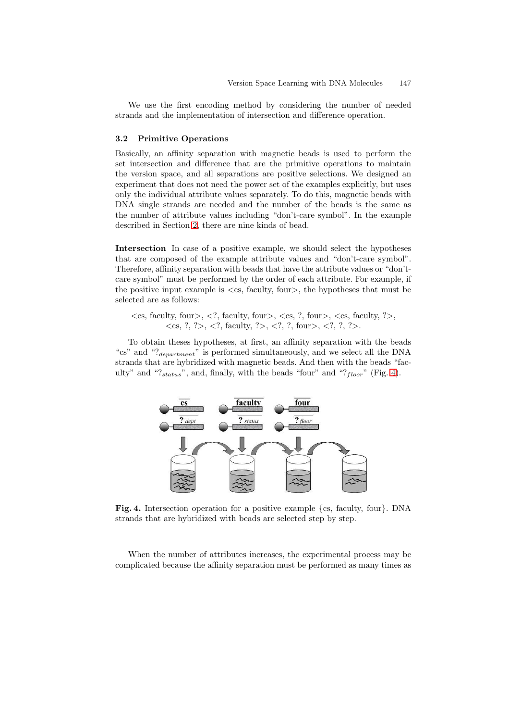We use the first encoding method by considering the number of needed strands and the implementation of intersection and difference operation.

### **3.2 Primitive Operations**

Basically, an affinity separation with magnetic beads is used to perform the set intersection and difference that are the primitive operations to maintain the version space, and all separations are positive selections. We designed an experiment that does not need the power set of the examples explicitly, but uses only the individual attribute values separately. To do this, magnetic beads with DNA single strands are needed and the number of the beads is the same as the number of attribute values including "don't-care symbol". In the example described in Section [2,](#page-1-0) there are nine kinds of bead.

**Intersection** In case of a positive example, we should select the hypotheses that are composed of the example attribute values and "don't-care symbol". Therefore, affinity separation with beads that have the attribute values or "don'tcare symbol" must be performed by the order of each attribute. For example, if the positive input example is  $\langle \cos, \tan(y), \tan(y), \sin(y) \rangle$ , the hypotheses that must be selected are as follows:

<cs, f aculty, f our>, <?, faculty, four>, <cs, ?, four>, <cs, f aculty, ?>, <cs, ?, ?>, <?, faculty, ?>, <?, ?, four>, <?, ?, ?>.

To obtain theses hypotheses, at first, an affinity separation with the beads "cs" and "?*department*" is performed simultaneously, and we select all the DNA strands that are hybridized with magnetic beads. And then with the beads "faculty" and "?*status*", and, finally, with the beads "four" and "?*f loor*" (Fig. [4\)](#page-4-0).



<span id="page-4-0"></span>Fig. 4. Intersection operation for a positive example {cs, faculty, four}. DNA strands that are hybridized with beads are selected step by step.

When the number of attributes increases, the experimental process may be complicated because the affinity separation must be performed as many times as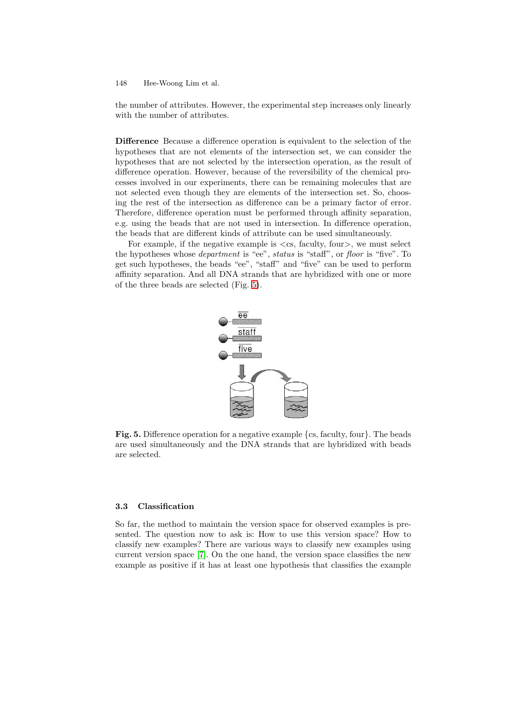the number of attributes. However, the experimental step increases only linearly with the number of attributes.

**Difference** Because a difference operation is equivalent to the selection of the hypotheses that are not elements of the intersection set, we can consider the hypotheses that are not selected by the intersection operation, as the result of difference operation. However, because of the reversibility of the chemical processes involved in our experiments, there can be remaining molecules that are not selected even though they are elements of the intersection set. So, choosing the rest of the intersection as difference can be a primary factor of error. Therefore, difference operation must be performed through affinity separation, e.g. using the beads that are not used in intersection. In difference operation, the beads that are different kinds of attribute can be used simultaneously.

For example, if the negative example is  $\langle \cos, \tan(y), \tan(y), \cos(y) \rangle$ , we must select the hypotheses whose *department* is "ee", *status* is "staff", or *floor* is "five". To get such hypotheses, the beads "ee", "staff" and "five" can be used to perform affinity separation. And all DNA strands that are hybridized with one or more of the three beads are selected (Fig.  $5$ ).



**Fig. 5.** Difference operation for a negative example {cs, faculty, four}. The beads are used simultaneously and the DNA strands that are hybridized with beads are selected.

### <span id="page-5-0"></span>**3.3 Classification**

So far, the method to maintain the version space for observed examples is presented. The question now to ask is: How to use this version space? How to classify new examples? There are various ways to classify new examples using current version space [\[7\]](#page-12-0). On the one hand, the version space classifies the new example as positive if it has at least one hypothesis that classifies the example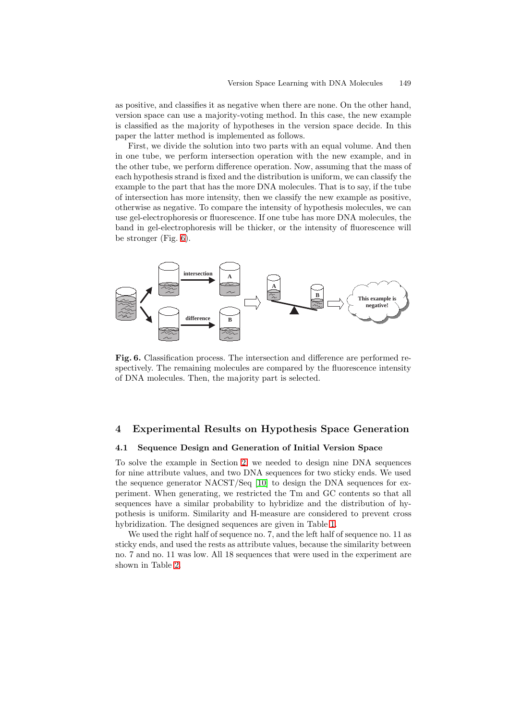as positive, and classifies it as negative when there are none. On the other hand, version space can use a majority-voting method. In this case, the new example is classified as the majority of hypotheses in the version space decide. In this paper the latter method is implemented as follows.

First, we divide the solution into two parts with an equal volume. And then in one tube, we perform intersection operation with the new example, and in the other tube, we perform difference operation. Now, assuming that the mass of each hypothesis strand is fixed and the distribution is uniform, we can classify the example to the part that has the more DNA molecules. That is to say, ifthe tube ofintersection has more intensity, then we classify the new example as positive, otherwise as negative. To compare the intensity ofhypothesis molecules, we can use gel-electrophoresis or fluorescence. If one tube has more DNA molecules, the band in gel-electrophoresis will be thicker, or the intensity of fluorescence will be stronger (Fig. [6\)](#page-6-1).



<span id="page-6-1"></span>**Fig. 6.** Classification process. The intersection and difference are performed respectively. The remaining molecules are compared by the fluorescence intensity of DNA molecules. Then, the majority part is selected.

### <span id="page-6-0"></span>**4 Experimental Results on Hypothesis Space Generation**

#### **4.1 Sequence Design and Generation of Initial Version Space**

To solve the example in Section [2,](#page-1-0) we needed to design nine DNA sequences for nine attribute values, and two DNA sequences for two sticky ends. We used the sequence generator NACST/Seq [\[10\]](#page-12-8) to design the DNA sequences for experiment. When generating, we restricted the Tm and GC contents so that all sequences have a similar probability to hybridize and the distribution of hypothesis is uniform. Similarity and H-measure are considered to prevent cross hybridization. The designed sequences are given in Table [1.](#page-7-0)

We used the right half of sequence no. 7, and the left half of sequence no. 11 as sticky ends, and used the rests as attribute values, because the similarity between no. 7 and no. 11 was low. All 18 sequences that were used in the experiment are shown in Table [2.](#page-7-1)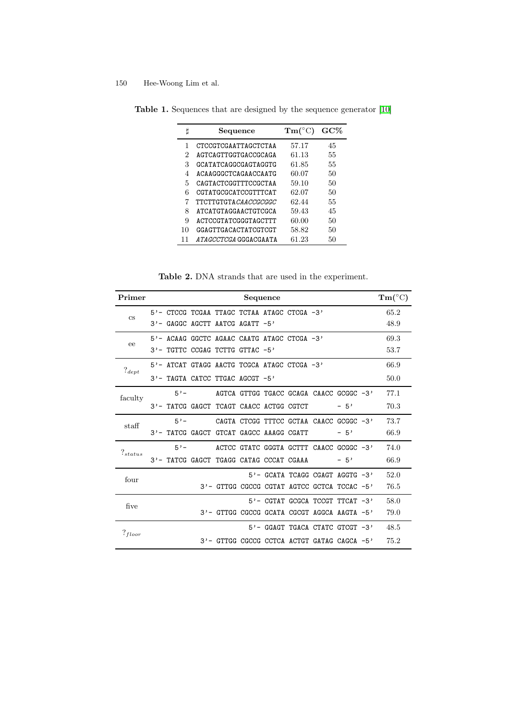| ij | Sequence                    | $\mathbf{Tm}({}^{\circ}\mathrm{C})$ | $\rm GC\%$ |
|----|-----------------------------|-------------------------------------|------------|
| 1  | CTCCGTCGAATTAGCTCTAA        | 57.17                               | 45         |
| 2  | AGTCAGTTGGTGACCGCAGA        | 61.13                               | 55         |
| 3  | GCATATCAGGCGAGTAGGTG        | 61.85                               | 55         |
| 4  | ACAAGGGCTCAGAACCAATG        | 60.07                               | 50         |
| 5  | CAGTACTCGGTTTCCGCTAA        | 59.10                               | 50         |
| 6  | CGTATGCGCATCCGTTTCAT        | 62.07                               | 50         |
| 7  | TTCTTGTGTACAACCGCGGC        | 62.44                               | 55         |
| 8  | ATCATGTAGGAACTGTCGCA        | 59.43                               | 45         |
| 9  | <b>ACTCCGTATCGGGTAGCTTT</b> | 60.00                               | 50         |
| 10 | GGAGTTGACACTATCGTCGT        | 58.82                               | 50         |
| 11 | ATAGCCTCGA GGGACGAATA       | 61.23                               | 50         |
|    |                             |                                     |            |

<span id="page-7-0"></span>**Table 1.** Sequences that are designed by the sequence generator [\[10\]](#page-12-8)

**Table 2.** DNA strands that are used in the experiment.

<span id="page-7-1"></span>

| Primer                 |    |                                                  | Sequence |  |                                                | $\mathrm{Tm}({}^{\circ}\mathrm{C})$ |
|------------------------|----|--------------------------------------------------|----------|--|------------------------------------------------|-------------------------------------|
| $\mathbf{c}\mathbf{s}$ |    | 5'- CTCCG TCGAA TTAGC TCTAA ATAGC CTCGA -3'      |          |  |                                                | 65.2                                |
|                        |    | $3'$ - GAGGC AGCTT AATCG AGATT -5'               |          |  |                                                | 48.9                                |
| ee                     |    | $5'$ - ACAAG GGCTC AGAAC CAATG ATAGC CTCGA $-3'$ |          |  |                                                | 69.3                                |
|                        |    | $3'$ - TGTTC CCGAG TCTTG GTTAC -5'               |          |  |                                                | 53.7                                |
| $?_{dept}$             |    | 5'- ATCAT GTAGG AACTG TCGCA ATAGC CTCGA -3'      |          |  |                                                | 66.9                                |
|                        |    | $3'$ - TAGTA CATCC TTGAC AGCGT -5'               |          |  |                                                | 50.0                                |
| faculty                | 5' |                                                  |          |  | AGTCA GTTGG TGACC GCAGA CAACC GCGGC -3'        | 77.1                                |
|                        |    | 3'- TATCG GAGCT TCAGT CAACC ACTGG CGTCT          |          |  | $-5'$                                          | 70.3                                |
| staff                  | 5' |                                                  |          |  | CAGTA CTCGG TTTCC GCTAA CAACC GCGGC -3'        | 73.7                                |
|                        |    | 3'- TATCG GAGCT GTCAT GAGCC AAAGG CGATT          |          |  | $-5'$                                          | 66.9                                |
| $?_{status}$           | 5' |                                                  |          |  | ACTCC GTATC GGGTA GCTTT CAACC GCGGC -3'        | 74.0                                |
|                        |    | $3'$ - TATCG GAGCT TGAGG CATAG CCCAT CGAAA $-5'$ |          |  |                                                | 66.9                                |
| four                   |    |                                                  |          |  | $5'$ - GCATA TCAGG CGAGT AGGTG -3'             | 52.0                                |
|                        |    |                                                  |          |  | $3'$ - GTTGG CGCCG CGTAT AGTCC GCTCA TCCAC -5' | 76.5                                |
| five                   |    |                                                  |          |  | $5'$ - CGTAT GCGCA TCCGT TTCAT -3'             | 58.0                                |
|                        |    |                                                  |          |  | 3'- GTTGG CGCCG GCATA CGCGT AGGCA AAGTA -5'    | 79.0                                |
| $?$ floor              |    |                                                  |          |  | $5'$ - GGAGT TGACA CTATC GTCGT -3'             | 48.5                                |
|                        |    |                                                  |          |  | 3'- GTTGG CGCCG CCTCA ACTGT GATAG CAGCA -5'    | 75.2                                |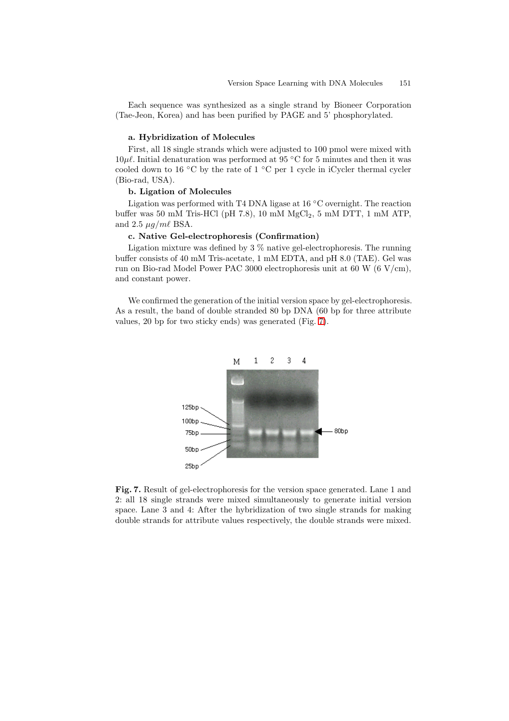Each sequence was synthesized as a single strand by Bioneer Corporation (Tae-Jeon, Korea) and has been purified by PAGE and 5' phosphorylated.

#### **a. Hybridization of Molecules**

First, all 18 single strands which were adjusted to 100 pmol were mixed with  $10\mu\ell$ . Initial denaturation was performed at 95 °C for 5 minutes and then it was cooled down to 16  $\degree$ C by the rate of 1  $\degree$ C per 1 cycle in iCycler thermal cycler (Bio-rad, USA).

#### **b. Ligation of Molecules**

Ligation was performed with T4 DNA ligase at 16 ◦C overnight. The reaction buffer was 50 mM Tris-HCl (pH 7.8), 10 mM  $MgCl<sub>2</sub>$ , 5 mM DTT, 1 mM ATP, and 2.5  $\mu$ g/m $\ell$  BSA.

#### **c. Native Gel-electrophoresis (Confirmation)**

Ligation mixture was defined by  $3\%$  native gel-electrophoresis. The running buffer consists of 40 mM Tris-acetate, 1 mM EDTA, and pH  $8.0$  (TAE). Gel was run on Bio-rad Model Power PAC 3000 electrophoresis unit at 60 W (6 V/cm), and constant power.

We confirmed the generation of the initial version space by gel-electrophoresis. As a result, the band of double stranded  $80$  bp DNA (60 bp for three attribute values, 20 bp for two sticky ends) was generated (Fig. [7\)](#page-8-0).



<span id="page-8-0"></span>Fig. 7. Result of gel-electrophoresis for the version space generated. Lane 1 and 2: all 18 single strands were mixed simultaneously to generate initial version space. Lane 3 and 4: After the hybridization of two single strands for making double strands for attribute values respectively, the double strands were mixed.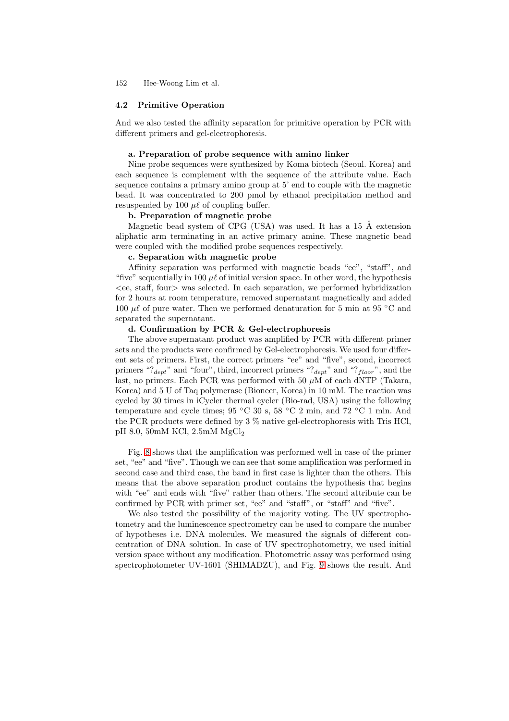### **4.2 Primitive Operation**

And we also tested the affinity separation for primitive operation by PCR with different primers and gel-electrophoresis.

### **a. Preparation of probe sequence with amino linker**

Nine probe sequences were synthesized by Koma biotech (Seoul. Korea) and each sequence is complement with the sequence of the attribute value. Each sequence contains a primary amino group at 5' end to couple with the magnetic bead. It was concentrated to 200 pmol by ethanol precipitation method and resuspended by 100  $\mu\ell$  of coupling buffer.

### **b. Preparation of magnetic probe**

Magnetic bead system of CPG (USA) was used. It has a  $15 \text{ Å}$  extension aliphatic arm terminating in an active primary amine. These magnetic bead were coupled with the modified probe sequences respectively.

### **c. Separation with magnetic probe**

Affinity separation was performed with magnetic beads "ee", "staff", and "five" sequentially in 100  $\mu\ell$  of initial version space. In other word, the hypothesis <ee, staff, four> was selected. In each separation, we performed hybridization for 2 hours at room temperature, removed supernatant magnetically and added 100  $\mu\ell$  of pure water. Then we performed denaturation for 5 min at 95 °C and separated the supernatant.

### **d. Confirmation by PCR & Gel-electrophoresis**

The above supernatant product was amplified by PCR with different primer sets and the products were confirmed by Gel-electrophoresis. We used four different sets of primers. First, the correct primers "ee" and "five", second, incorrect primers "?*dept*" and "four", third, incorrect primers "?*dept*" and "?*f loor*", and the last, no primers. Each PCR was performed with 50  $\mu$ M of each dNTP (Takara, Korea) and 5 U of Taq polymerase (Bioneer, Korea) in 10 mM. The reaction was cycled by 30 times in iCycler thermal cycler (Bio-rad, USA) using the following temperature and cycle times; 95 °C 30 s, 58 °C 2 min, and 72 °C 1 min. And the PCR products were defined by 3 % native gel-electrophoresis with Tris HCl, pH 8.0, 50mM KCl, 2.5mM MgCl<sup>2</sup>

Fig. [8](#page-10-1) shows that the amplification was performed well in case of the primer set, "ee" and "five". Though we can see that some amplification was performed in second case and third case, the band in first case is lighter than the others. This means that the above separation product contains the hypothesis that begins with "ee" and ends with "five" rather than others. The second attribute can be confirmed by PCR with primer set, "ee" and "staff", or "staff" and "five".

We also tested the possibility of the majority voting. The UV spectrophotometry and the luminescence spectrometry can be used to compare the number of hypotheses i.e. DNA molecules. We measured the signals of different concentration of DNA solution. In case of UV spectrophotometry, we used initial version space without any modification. Photometric assay was performed using spectrophotometer UV-1601 (SHIMADZU), and Fig. [9](#page-11-0) shows the result. And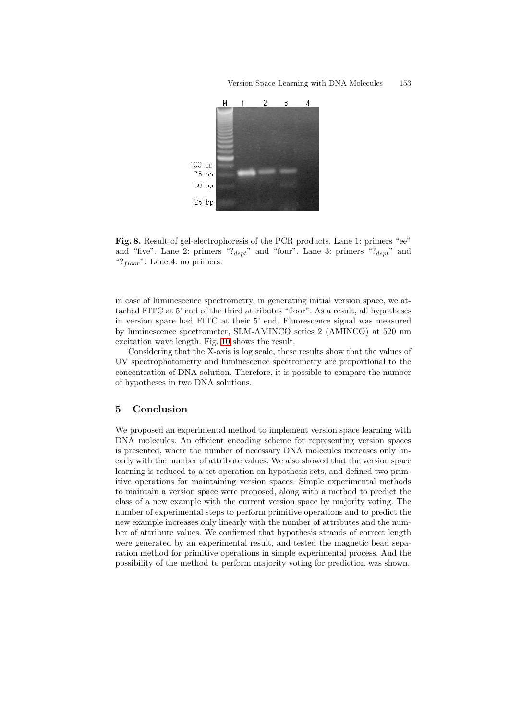

<span id="page-10-1"></span>**Fig. 8.** Result of gel-electrophoresis of the PCR products. Lane 1: primers "ee" and "five". Lane 2: primers "?*dept*" and "four". Lane 3: primers "?*dept*" and "? *floor*". Lane 4: no primers.

in case of luminescence spectrometry, in generating initial version space, we attached FITC at 5' end of the third attributes "floor". As a result, all hypotheses in version space had FITC at their 5' end. Fluorescence signal was measured by luminescence spectrometer, SLM-AMINCO series 2 (AMINCO) at 520 nm excitation wave length. Fig. [10](#page-11-1) shows the result.

Considering that the X-axis is log scale, these results show that the values of UV spectrophotometry and luminescence spectrometry are proportional to the concentration ofDNA solution. Therefore, it is possible to compare the number of hypotheses in two DNA solutions.

## <span id="page-10-0"></span>**5 Conclusion**

We proposed an experimental method to implement version space learning with DNA molecules. An efficient encoding scheme for representing version spaces is presented, where the number of necessary DNA molecules increases only linearly with the number of attribute values. We also showed that the version space learning is reduced to a set operation on hypothesis sets, and defined two primitive operations for maintaining version spaces. Simple experimental methods to maintain a version space were proposed, along with a method to predict the class of a new example with the current version space by majority voting. The number of experimental steps to perform primitive operations and to predict the new example increases only linearly with the number of attributes and the number of attribute values. We confirmed that hypothesis strands of correct length were generated by an experimental result, and tested the magnetic bead separation method for primitive operations in simple experimental process. And the possibility of the method to perform majority voting for prediction was shown.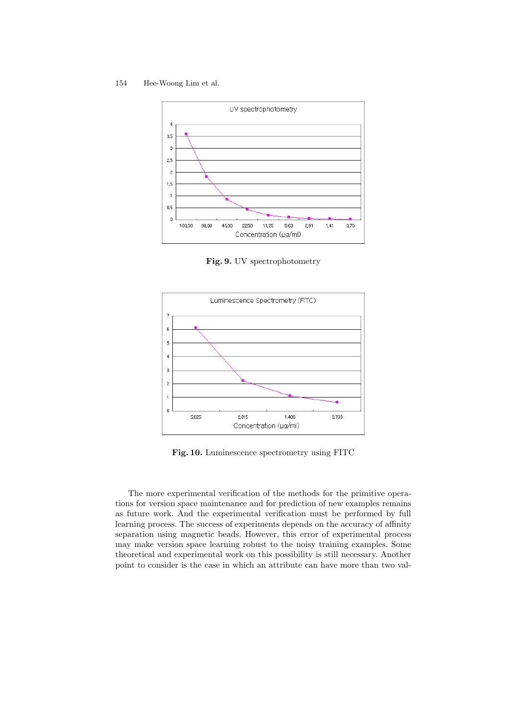

**Fig. 9.** UV spectrophotometry

<span id="page-11-0"></span>

<span id="page-11-1"></span>**Fig. 10.** Luminescence spectrometry using FITC

The more experimental verification of the methods for the primitive operations for version space maintenance and for prediction of new examples remains as future work. And the experimental verification must be performed by full learning process. The success of experiments depends on the accuracy of affinity separation using magnetic beads. However, this error of experimental process may make version space learning robust to the noisy training examples. Some theoretical and experimental work on this possibility is still necessary. Another point to consider is the case in which an attribute can have more than two val